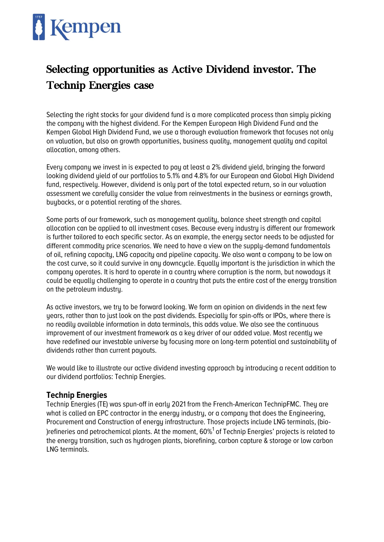# Kempen

## Selecting opportunities as Active Dividend investor. The Technip Energies case

Selecting the right stocks for your dividend fund is a more complicated process than simply picking the company with the highest dividend. For the Kempen European High Dividend Fund and the Kempen Global High Dividend Fund, we use a thorough evaluation framework that focuses not only on valuation, but also on growth opportunities, business quality, management quality and capital allocation, among others.

Every company we invest in is expected to pay at least a 2% dividend yield, bringing the forward looking dividend yield of our portfolios to 5.1% and 4.8% for our European and Global High Dividend fund, respectively. However, dividend is only part of the total expected return, so in our valuation assessment we carefully consider the value from reinvestments in the business or earnings growth, buybacks, or a potential rerating of the shares.

Some parts of our framework, such as management quality, balance sheet strength and capital allocation can be applied to all investment cases. Because every industry is different our framework is further tailored to each specific sector. As an example, the energy sector needs to be adjusted for different commoditu price scenarios. We need to have a view on the supply-demand fundamentals of oil, refining capacity, LNG capacity and pipeline capacity. We also want a company to be low on the cost curve, so it could survive in any downcycle. Equally important is the jurisdiction in which the company operates. It is hard to operate in a country where corruption is the norm, but nowadays it could be equally challenging to operate in a country that puts the entire cost of the energy transition on the petroleum industry.

As active investors, we try to be forward looking. We form an opinion on dividends in the next few years, rather than to just look on the past dividends. Especially for spin-offs or IPOs, where there is no readily available information in data terminals, this adds value. We also see the continuous improvement of our investment framework as a key driver of our added value. Most recently we have redefined our investable universe bu focusing more on long-term potential and sustainability of dividends rather than current payouts.

We would like to illustrate our active dividend investing approach by introducing a recent addition to our dividend portfolios: Technip Energies.

### **Technip Energies**

Technip Energies (TE) was spun-off in early 2021 from the French-American TechnipFMC. They are what is called an EPC contractor in the energy industry, or a company that does the Engineering, Procurement and Construction of energy infrastructure. Those projects include LNG terminals, (bio- )refineries and petrochemical plants. At the moment,  $60\% ^1$  of Technip Energies' projects is related to the energy transition, such as hydrogen plants, biorefining, carbon capture & storage or low carbon LNG terminals.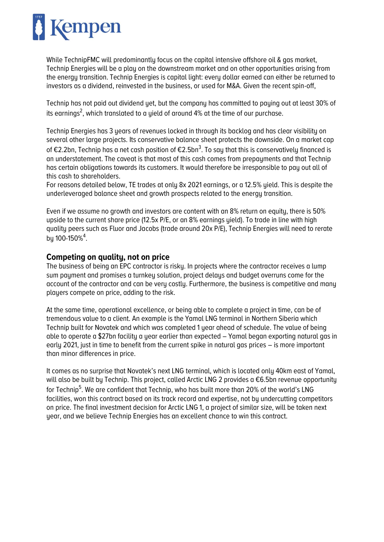

While TechnipFMC will predominantly focus on the capital intensive offshore oil & gas market, Technip Energies will be a play on the downstream market and on other opportunities arising from the energy transition. Technip Energies is capital light: every dollar earned can either be returned to investors as a dividend, reinvested in the business, or used for M&A. Given the recent spin-off,

Technip has not paid out dividend yet, but the company has committed to paying out at least 30% of its earnings $^2$ , which translated to a yield of around 4% at the time of our purchase.

Technip Energies has 3 years of revenues locked in through its backlog and has clear visibility on several other large projects. Its conservative balance sheet protects the downside. On a market cap of €2.2bn, Technip has a net cash position of €2.5bn<sup>3</sup>. To say that this is conservatively financed is an understatement. The caveat is that most of this cash comes from prepayments and that Technip has certain obligations towards its customers. It would therefore be irresponsible to pay out all of this cash to shareholders.

For reasons detailed below, TE trades at only 8x 2021 earnings, or a 12.5% yield. This is despite the underleveraged balance sheet and growth prospects related to the energy transition.

Even if we assume no growth and investors are content with an 8% return on equity, there is 50% upside to the current share price (12.5x P/E, or an 8% earnings yield). To trade in line with high quality peers such as Fluor and Jacobs (trade around 20x P/E), Technip Energies will need to rerate by 100-150%<sup>4</sup>.

### **Competing on quality, not on price**

The business of being an EPC contractor is risky. In projects where the contractor receives a lump sum payment and promises a turnkey solution, project delays and budget overruns come for the account of the contractor and can be very costly. Furthermore, the business is competitive and many players compete on price, adding to the risk.

At the same time, operational excellence, or being able to complete a project in time, can be of tremendous value to a client. An example is the Yamal LNG terminal in Northern Siberia which Technip built for Novatek and which was completed 1 year ahead of schedule. The value of being able to operate a \$27bn facility a year earlier than expected – Yamal began exporting natural gas in early 2021, just in time to benefit from the current spike in natural gas prices – is more important than minor differences in price.

It comes as no surprise that Novatek's next LNG terminal, which is located only 40km east of Yamal, will also be built by Technip. This project, called Arctic LNG 2 provides a €6.5bn revenue opportunity for Technip<sup>5</sup>. We are confident that Technip, who has built more than 20% of the world's LNG facilities, won this contract based on its track record and expertise, not by undercutting competitors on price. The final investment decision for Arctic LNG 1, a project of similar size, will be taken next year, and we believe Technip Energies has an excellent chance to win this contract.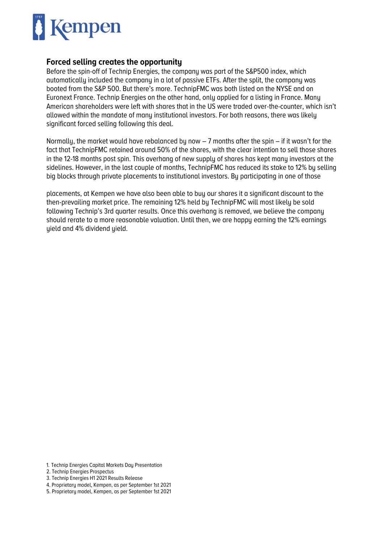

#### **Forced selling creates the opportunity**

Before the spin-off of Technip Energies, the company was part of the S&P500 index, which automatically included the company in a lot of passive ETFs. After the split, the company was booted from the S&P 500. But there's more. TechnipFMC was both listed on the NYSE and on Euronext France. Technip Energies on the other hand, only applied for a listing in France. Many American shareholders were left with shares that in the US were traded over-the-counter, which isn't allowed within the mandate of many institutional investors. For both reasons, there was likely significant forced selling following this deal.

Normally, the market would have rebalanced by now – 7 months after the spin – if it wasn't for the fact that TechnipFMC retained around 50% of the shares, with the clear intention to sell those shares in the 12-18 months post spin. This overhang of new supply of shares has kept many investors at the sidelines. However, in the last couple of months, TechnipFMC has reduced its stake to 12% by selling big blocks through private placements to institutional investors. By participating in one of those

placements, at Kempen we have also been able to buy our shares it a significant discount to the then-prevailing market price. The remaining 12% held by TechnipFMC will most likely be sold following Technip's 3rd quarter results. Once this overhang is removed, we believe the company should rerate to a more reasonable valuation. Until then, we are happy earning the 12% earnings yield and 4% dividend yield.

- 1. Technip Energies Capital Markets Day Presentation
- 2. Technip Energies Prospectus
- 3. Technip Energies H1 2021 Results Release
- 4. Proprietary model, Kempen, as per September 1st 2021
- 5. Proprietary model, Kempen, as per September 1st 2021